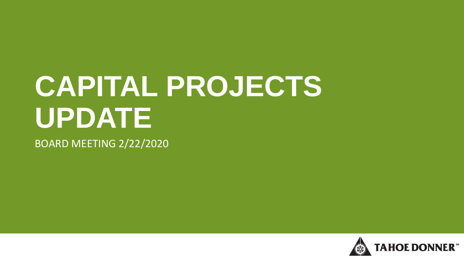# **CAPITAL PROJECTS UPDATE**

BOARD MEETING 2/22/2020

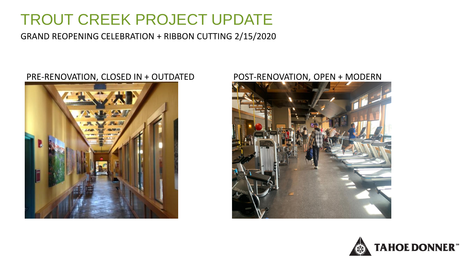# TROUT CREEK PROJECT UPDATE

GRAND REOPENING CELEBRATION + RIBBON CUTTING 2/15/2020

#### PRE-RENOVATION, CLOSED IN + OUTDATED POST-RENOVATION, OPEN + MODERN





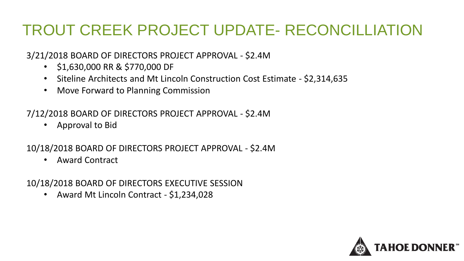# TROUT CREEK PROJECT UPDATE- RECONCILLIATION

3/21/2018 BOARD OF DIRECTORS PROJECT APPROVAL - \$2.4M

- \$1,630,000 RR & \$770,000 DF
- Siteline Architects and Mt Lincoln Construction Cost Estimate \$2,314,635
- Move Forward to Planning Commission

7/12/2018 BOARD OF DIRECTORS PROJECT APPROVAL - \$2.4M

• Approval to Bid

10/18/2018 BOARD OF DIRECTORS PROJECT APPROVAL - \$2.4M

• Award Contract

10/18/2018 BOARD OF DIRECTORS EXECUTIVE SESSION

• Award Mt Lincoln Contract - \$1,234,028

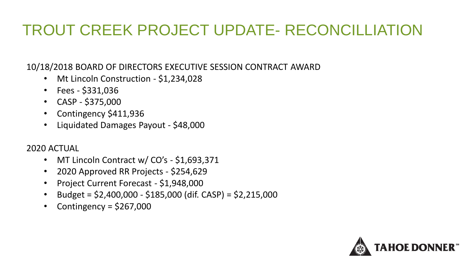# TROUT CREEK PROJECT UPDATE- RECONCILLIATION

10/18/2018 BOARD OF DIRECTORS EXECUTIVE SESSION CONTRACT AWARD

- Mt Lincoln Construction \$1,234,028
- Fees \$331,036
- CASP \$375,000
- Contingency \$411,936
- Liquidated Damages Payout \$48,000

#### 2020 ACTUAL

- MT Lincoln Contract w/ CO's \$1,693,371
- 2020 Approved RR Projects \$254,629
- Project Current Forecast \$1,948,000
- Budget = \$2,400,000 \$185,000 (dif. CASP) = \$2,215,000
- Contingency =  $$267,000$

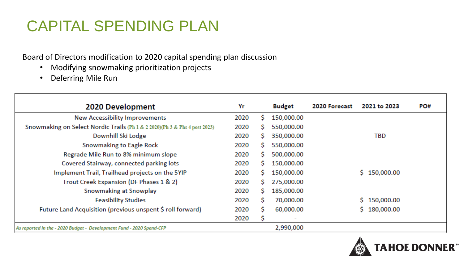# CAPITAL SPENDING PLAN

Board of Directors modification to 2020 capital spending plan discussion

- Modifying snowmaking prioritization projects
- Deferring Mile Run

| 2020 Development                                                           | Yr   |    | <b>Budget</b> | 2020 Forecast | 2021 to 2023     | PO# |
|----------------------------------------------------------------------------|------|----|---------------|---------------|------------------|-----|
| <b>New Accessibility Improvements</b>                                      | 2020 |    | 150,000.00    |               |                  |     |
| Snowmaking on Select Nordic Trails (Ph 1 & 2 2020)(Ph 3 & Phs 4 post 2023) | 2020 | s  | 550,000.00    |               |                  |     |
| Downhill Ski Lodge                                                         | 2020 | S. | 350,000.00    |               | TBD              |     |
| Snowmaking to Eagle Rock                                                   | 2020 | S. | 550,000.00    |               |                  |     |
| Regrade Mile Run to 8% minimum slope                                       | 2020 | S. | 500,000.00    |               |                  |     |
| Covered Stairway, connected parking lots                                   | 2020 | s  | 150,000.00    |               |                  |     |
| Implement Trail, Trailhead projects on the 5YIP                            | 2020 | S. | 150,000.00    |               | \$150,000.00     |     |
| Trout Creek Expansion (DF Phases 1 & 2)                                    | 2020 | S. | 275,000.00    |               |                  |     |
| Snowmaking at Snowplay                                                     | 2020 | S. | 185,000.00    |               |                  |     |
| <b>Feasibility Studies</b>                                                 | 2020 | S  | 70,000.00     |               | \$150,000.00     |     |
| Future Land Acquisition (previous unspent \$ roll forward)                 | 2020 | S  | 60,000.00     |               | 180,000.00<br>S. |     |
|                                                                            | 2020 |    | ٠             |               |                  |     |
| As reported in the - 2020 Budget - Development Fund - 2020 Spend-CFP       |      |    | 2,990,000     |               |                  |     |

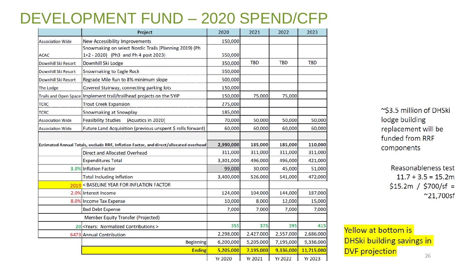#### DEVELOPMENT FUND – 2020 SPEND/CFP

|                            | Project                                                                               | 2020           | 2021           | 2022           | 2023           |
|----------------------------|---------------------------------------------------------------------------------------|----------------|----------------|----------------|----------------|
| <b>Association Wide</b>    | <b>New Accessibility Improvements</b>                                                 | 150,000        |                |                |                |
|                            | Snowmaking on select Nordic Trails (Planning 2019) (Ph                                |                |                |                |                |
| <b>ACAC</b>                | 1+2 - 2020) (Ph3 and Ph 4 post 2023)                                                  | 550,000        |                |                |                |
| <b>Downhill Ski Resort</b> | Downhill Ski Lodge                                                                    | 350,000        | <b>TBD</b>     | <b>TBD</b>     | <b>TBD</b>     |
| <b>Downhill Ski Resort</b> | <b>Snowmaking to Eagle Rock</b>                                                       | 550,000        |                |                |                |
| Downhill Ski Resort        | Regrade Mile Run to 8% minimum slope                                                  | 500,000        |                |                |                |
| The Lodge                  | Covered Stairway, connecting parking lots                                             | 150,000        |                |                |                |
|                            | Trails and Open Space Implement trail/trailhead projects on the 5YIP                  | 150,000        | 75,000         | 75,000         |                |
| <b>TCRC</b>                | <b>Trout Creek Expansion</b>                                                          | 275,000        |                |                |                |
| <b>TCRC</b>                | <b>Snowmaking at Snowplay</b>                                                         | 185,000        |                |                |                |
| <b>Association Wide</b>    | <b>Feasibility Studies</b><br>(Aquatics in 2020)                                      | 70,000         | 50,000         | 50,000         | 50,000         |
| <b>Association Wide</b>    | Future Land Acquisition (previous unspent \$ rolls forward)                           | 60,000         | 60,000         | 60,000         | 60,000         |
|                            |                                                                                       |                |                |                |                |
|                            | Estimated Annual Totals, exclude RRF, Inflation Factor, and direct/allocated overhead | 2,990,000      | 185,000        | 185,000        | 110,000        |
|                            | <b>Direct and Allocated Overhead</b>                                                  | 311,000        | 311,000        | 311,000        | 311,000        |
|                            | <b>Expenditures Total</b>                                                             | 3,301,000      | 496,000        | 496,000        | 421,000        |
|                            | 3.0% Inflation Factor                                                                 | 99,000         | 30,000         | 45,000         | 51,000         |
|                            | <b>Total Including Inflation</b>                                                      | 3,400,000      | 526,000        | 541,000        | 472,000        |
| 2019                       | < BASELINE YEAR FOR INFLATION FACTOR                                                  |                |                |                |                |
|                            | 2.0% Interest Income                                                                  | 124,000        | 104,000        | 144,000        | 187,000        |
|                            | 8.0% Income Tax Expense                                                               | 10,000         | 8,000          | 12,000         | 15,000         |
|                            | <b>Bad Debt Expense</b>                                                               | 7,000          | 7,000          | 7,000          | 7,000          |
|                            | Member Equity Transfer (Projected)                                                    |                |                |                |                |
|                            | 20 <years: contributions="" normalized=""></years:>                                   | 355            | 375            | 395            | 415            |
|                            | 6473 Annual Contribution                                                              | 2,298,000      | 2,427,000      | 2,557,000      | 2,686,000      |
|                            | <b>Beginning</b>                                                                      | 6,200,000      | 5,205,000      | 7,195,000      | 9,336,000      |
|                            | <b>Ending</b>                                                                         | 5,205,000      | 7,195,000      | 9,336,000      | 11,715,000     |
|                            |                                                                                       | <b>Yr 2020</b> | <b>Yr 2021</b> | <b>Yr 2022</b> | <b>Yr 2023</b> |

~\$3.5 million of DHSki lodge building replacement will be funded from RRF components

> Reasonableness test  $11.7 + 3.5 = 15.2m$  $$15.2m / $700/sf =$  $^{\sim}$ 21,700sf

Yellow at bottom is DHSki building savings in **DVF** projection 26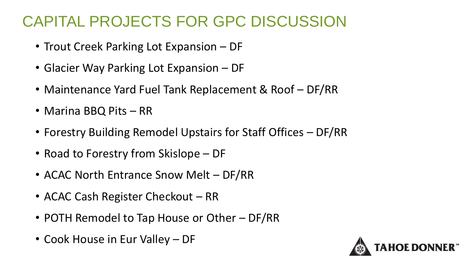## CAPITAL PROJECTS FOR GPC DISCUSSION

- Trout Creek Parking Lot Expansion DF
- Glacier Way Parking Lot Expansion DF
- Maintenance Yard Fuel Tank Replacement & Roof DF/RR
- Marina BBQ Pits RR
- Forestry Building Remodel Upstairs for Staff Offices DF/RR
- Road to Forestry from Skislope DF
- ACAC North Entrance Snow Melt DF/RR
- ACAC Cash Register Checkout RR
- POTH Remodel to Tap House or Other DF/RR
- Cook House in Eur Valley DF

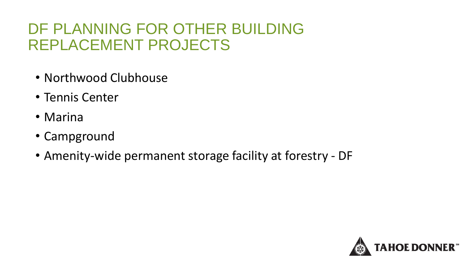## DF PLANNING FOR OTHER BUILDING REPLACEMENT PROJECTS

- Northwood Clubhouse
- Tennis Center
- Marina
- Campground
- Amenity-wide permanent storage facility at forestry DF

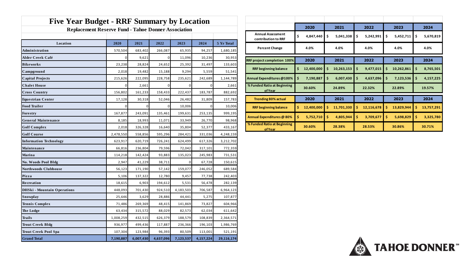| <b>Five Year Budget - RRF Summary by Location</b>          |           |           |           |           |             |            |  |  |  |  |  |  |
|------------------------------------------------------------|-----------|-----------|-----------|-----------|-------------|------------|--|--|--|--|--|--|
| <b>Replacement Reserve Fund - Tahoe Donner Association</b> |           |           |           |           |             |            |  |  |  |  |  |  |
|                                                            |           |           |           |           |             |            |  |  |  |  |  |  |
| Location                                                   | 2020      | 2021      | 2022      | 2023      | 2024        | 5 Yr Total |  |  |  |  |  |  |
| Administration                                             | 570,504   | 683,402   | 266,087   | 65,935    | 94,257      | 1,680,185  |  |  |  |  |  |  |
| Alder Creek Café                                           | 0         | 9,621     | 0         | 11,096    | 10,236      | 30,953     |  |  |  |  |  |  |
| <b>Bikeworks</b>                                           | 23,238    | 28,824    | 24,652    | 25,392    | 31,497      | 133,603    |  |  |  |  |  |  |
| Campground                                                 | 2,018     | 19,482    | 15,188    | 9,294     | 5,559       | 51,541     |  |  |  |  |  |  |
| <b>Capital Projects</b>                                    | 215,626   | 222,095   | 228,758   | 235,621   | 242,689     | 1,144,789  |  |  |  |  |  |  |
| <b>Chalet House</b>                                        | 0         | 2,661     | 0         | 0         | $\mathbf 0$ | 2,661      |  |  |  |  |  |  |
| <b>Cross Country</b>                                       | 156,802   | 161,233   | 158,433   | 222,437   | 183,787     | 882,692    |  |  |  |  |  |  |
| Equestrian Center                                          | 17,128    | 30,318    | 52,046    | 26,482    | 31,809      | 157,783    |  |  |  |  |  |  |
| <b>Food Trailer</b>                                        | 0         | $\Omega$  | 0         | 10,006    | $\Omega$    | 10,006     |  |  |  |  |  |  |
| Forestry                                                   | 167,877   | 243,091   | 135,461   | 199,631   | 253,135     | 999,195    |  |  |  |  |  |  |
| <b>General Maintenance</b>                                 | 8,185     | 18,993    | 11,071    | 33,949    | 26,770      | 98,968     |  |  |  |  |  |  |
| <b>Golf Complex</b>                                        | 2,018     | 326,328   | 16,640    | 35,804    | 52,377      | 433,167    |  |  |  |  |  |  |
| <b>Golf Course</b>                                         | 2,478,550 | 558,856   | 595,296   | 284,421   | 331,036     | 4,248,159  |  |  |  |  |  |  |
| <b>Information Technology</b>                              | 623,917   | 620,719   | 726,241   | 624,499   | 617,326     | 3,212,702  |  |  |  |  |  |  |
| Maintenance                                                | 66,816    | 236,804   | 79,596    | 72,042    | 317,101     | 772,359    |  |  |  |  |  |  |
| Marina                                                     | 114,218   | 142,424   | 93,883    | 135,023   | 245,983     | 731,531    |  |  |  |  |  |  |
| No. Woods Pool Bldg                                        | 2,947     | 41,229    | 38,711    | 0         | 67,728      | 150,615    |  |  |  |  |  |  |
| <b>Northwoods Clubhouse</b>                                | 56,123    | 171,190   | 57,142    | 159,077   | 246,052     | 689,584    |  |  |  |  |  |  |
| Pizza                                                      | 5,106     | 137,322   | 12,780    | 9,457     | 77,738      | 242,403    |  |  |  |  |  |  |
| Recreation                                                 | 18,615    | 6,903     | 194,612   | 5,531     | 56,478      | 282,139    |  |  |  |  |  |  |
| DHSki - Mountain Operations                                | 448,093   | 701,430   | 924,510   | 4,183,503 | 706,587     | 6,964,123  |  |  |  |  |  |  |
| Snowplay                                                   | 25,646    | 3,629     | 28,886    | 44,441    | 5,275       | 107,877    |  |  |  |  |  |  |
| Tennis Complex                                             | 71,486    | 269,369   | 48,415    | 141,869   | 73,827      | 604,966    |  |  |  |  |  |  |
| The Lodge                                                  | 63,434    | 315,572   | 88,029    | 82,573    | 62,034      | 611,642    |  |  |  |  |  |  |
| Trails                                                     | 1,008,259 | 432,515   | 626,379   | 188,579   | 108,839     | 2,364,571  |  |  |  |  |  |  |
| Trout Creek Bldg                                           | 936,977   | 499,436   | 117,887   | 236,366   | 196,103     | 1,986,769  |  |  |  |  |  |  |
| <b>Trout Creek Pool Spa</b>                                | 107,304   | 123,984   | 96,393    | 80,509    | 113,001     | 521,191    |  |  |  |  |  |  |
| <b>Grand Total</b>                                         | 7,190,887 | 6,007,430 | 4,637,096 | 7,123,537 | 4,157,224   | 29,116,174 |  |  |  |  |  |  |

|                                                 | 2020 |            | 2021 |            | 2022 |            | 2023 |            | 2024 |            |
|-------------------------------------------------|------|------------|------|------------|------|------------|------|------------|------|------------|
| <b>Annual Assessment</b><br>contribution to RRF | \$   | 4,847,440  | \$   | 5,041,338  | \$   | 5,242,991  | \$   | 5,452,711  | \$   | 5,670,819  |
| <b>Percent Change</b>                           |      | 4.0%       |      | 4.0%       |      | 4.0%       |      | 4.0%       |      | 4.0%       |
| RRF project completion 100%                     |      | 2020       |      | 2021       |      | 2022       |      | 2023       |      | 2024       |
| <b>RRF beginning balance</b>                    | \$   | 12,400,000 | \$   | 10,263,153 | \$   | 9,477,015  | Ś    | 10,262,861 | Ś.   | 8,765,501  |
| Annual Expenditures @100%                       | Ŝ.   | 7,190,887  | Ś    | 6,007,430  | Ś    | 4,637,096  | Ś.   | 7,123,536  | Ś    | 4,157,225  |
| % Funded Ratio at Beginning<br>of Year          |      | 30.60%     |      | 24.89%     |      | 22.32%     |      | 22.89%     |      | 19.57%     |
| <b>Trending 80% actual</b>                      |      | 2020       |      | 2021       |      | 2022       |      | 2023       |      | 2024       |
| <b>RRF beginning balance</b>                    | Ś.   | 12,400,000 | \$   | 11,701,330 | \$   | 12,116,678 | Ś    | 13,829,944 | \$   | 13,757,291 |
| Annual Expenditures @ 80%                       | \$   | 5,752,710  | Ś    | 4,805,944  | \$   | 3,709,677  | Ś    | 5,698,829  | Ś    | 3,325,780  |
| % Funded Ratio at Beginning<br>of Year          |      | 30.60%     |      | 28.38%     |      | 28.53%     |      | 30.86%     |      | 30.71%     |

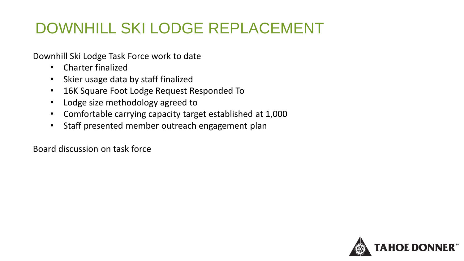# DOWNHILL SKI LODGE REPLACEMENT

Downhill Ski Lodge Task Force work to date

- Charter finalized
- Skier usage data by staff finalized
- 16K Square Foot Lodge Request Responded To
- Lodge size methodology agreed to
- Comfortable carrying capacity target established at 1,000
- Staff presented member outreach engagement plan

Board discussion on task force

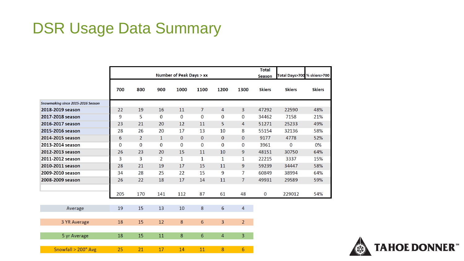### DSR Usage Data Summary

| 800<br><b>Skiers</b><br><b>Skiers</b><br><b>Skiers</b><br>700<br>900<br>1000<br>1100<br>1200<br>1300<br>Snowmaking since 2015-2016 Season<br>$\overline{7}$<br>$\overline{3}$<br>22<br>19<br>16<br>11<br>47292<br>22590<br>48%<br>4<br>2018-2019 season<br>9<br>5<br>$\mathbf 0$<br>0<br>7158<br>2017-2018 season<br>$\boldsymbol{0}$<br>0<br>$\mathbf 0$<br>34462<br>21%<br>5<br>2016-2017 season<br>23<br>21<br>20<br>12<br>11<br>$\overline{4}$<br>51271<br>25233<br>49%<br>2015-2016 season<br>28<br>26<br>20<br>17<br>13<br>10<br>8<br>55154<br>32136<br>58%<br>2014-2015 season<br>6<br>$\overline{2}$<br>$\mathbf{1}$<br>$\mathbf{0}$<br>$\mathbf{0}$<br>0<br>$\mathbf{0}$<br>9177<br>4778<br>52%<br>$\mathbf 0$<br>$\bf{0}$<br>0<br>0<br>$\mathbf{O}$<br>$\mathbf 0$<br>2013-2014 season<br>0<br>3961<br>0<br>0%<br>2012-2013 season<br>20<br>10<br>9<br>26<br>23<br>15<br>11<br>48151<br>30750<br>64%<br>3<br>2011-2012 season<br>3<br>$\overline{2}$<br>1<br>22215<br>3337<br>15%<br>1<br>$\mathbf{1}$<br>$\mathbf{1}$<br>2010-2011 season<br>28<br>21<br>19<br>17<br>15<br>11<br>9<br>59239<br>34447<br>58%<br>28<br>25<br>15<br>9<br>7<br>2009-2010 season<br>34<br>22<br>60849<br>38994<br>64%<br>$\overline{7}$<br>2008-2009 season<br>22<br>18<br>11<br>26<br>17<br>14<br>49931<br>29589<br>59%<br>205<br>170<br>48<br>141<br>112<br>87<br>61<br>$\bf{0}$<br>229012<br>54%<br>19<br>15<br>13<br>10<br>8<br>6<br>$\overline{4}$<br>Average<br>15<br>8<br>2 <sup>1</sup><br>18<br>12<br>$6\phantom{1}$<br>3<br>3 YR Average |              | <b>Number of Peak Days &gt; xx</b> |    |    |   |   |                |                | <b>Total</b><br><b>Season</b> | Total Days>700 % skiers>70 |  |
|------------------------------------------------------------------------------------------------------------------------------------------------------------------------------------------------------------------------------------------------------------------------------------------------------------------------------------------------------------------------------------------------------------------------------------------------------------------------------------------------------------------------------------------------------------------------------------------------------------------------------------------------------------------------------------------------------------------------------------------------------------------------------------------------------------------------------------------------------------------------------------------------------------------------------------------------------------------------------------------------------------------------------------------------------------------------------------------------------------------------------------------------------------------------------------------------------------------------------------------------------------------------------------------------------------------------------------------------------------------------------------------------------------------------------------------------------------------------------------------------------------------------------------------|--------------|------------------------------------|----|----|---|---|----------------|----------------|-------------------------------|----------------------------|--|
|                                                                                                                                                                                                                                                                                                                                                                                                                                                                                                                                                                                                                                                                                                                                                                                                                                                                                                                                                                                                                                                                                                                                                                                                                                                                                                                                                                                                                                                                                                                                          |              |                                    |    |    |   |   |                |                |                               |                            |  |
|                                                                                                                                                                                                                                                                                                                                                                                                                                                                                                                                                                                                                                                                                                                                                                                                                                                                                                                                                                                                                                                                                                                                                                                                                                                                                                                                                                                                                                                                                                                                          |              |                                    |    |    |   |   |                |                |                               |                            |  |
|                                                                                                                                                                                                                                                                                                                                                                                                                                                                                                                                                                                                                                                                                                                                                                                                                                                                                                                                                                                                                                                                                                                                                                                                                                                                                                                                                                                                                                                                                                                                          |              |                                    |    |    |   |   |                |                |                               |                            |  |
|                                                                                                                                                                                                                                                                                                                                                                                                                                                                                                                                                                                                                                                                                                                                                                                                                                                                                                                                                                                                                                                                                                                                                                                                                                                                                                                                                                                                                                                                                                                                          |              |                                    |    |    |   |   |                |                |                               |                            |  |
|                                                                                                                                                                                                                                                                                                                                                                                                                                                                                                                                                                                                                                                                                                                                                                                                                                                                                                                                                                                                                                                                                                                                                                                                                                                                                                                                                                                                                                                                                                                                          |              |                                    |    |    |   |   |                |                |                               |                            |  |
|                                                                                                                                                                                                                                                                                                                                                                                                                                                                                                                                                                                                                                                                                                                                                                                                                                                                                                                                                                                                                                                                                                                                                                                                                                                                                                                                                                                                                                                                                                                                          |              |                                    |    |    |   |   |                |                |                               |                            |  |
|                                                                                                                                                                                                                                                                                                                                                                                                                                                                                                                                                                                                                                                                                                                                                                                                                                                                                                                                                                                                                                                                                                                                                                                                                                                                                                                                                                                                                                                                                                                                          |              |                                    |    |    |   |   |                |                |                               |                            |  |
|                                                                                                                                                                                                                                                                                                                                                                                                                                                                                                                                                                                                                                                                                                                                                                                                                                                                                                                                                                                                                                                                                                                                                                                                                                                                                                                                                                                                                                                                                                                                          |              |                                    |    |    |   |   |                |                |                               |                            |  |
|                                                                                                                                                                                                                                                                                                                                                                                                                                                                                                                                                                                                                                                                                                                                                                                                                                                                                                                                                                                                                                                                                                                                                                                                                                                                                                                                                                                                                                                                                                                                          |              |                                    |    |    |   |   |                |                |                               |                            |  |
|                                                                                                                                                                                                                                                                                                                                                                                                                                                                                                                                                                                                                                                                                                                                                                                                                                                                                                                                                                                                                                                                                                                                                                                                                                                                                                                                                                                                                                                                                                                                          |              |                                    |    |    |   |   |                |                |                               |                            |  |
|                                                                                                                                                                                                                                                                                                                                                                                                                                                                                                                                                                                                                                                                                                                                                                                                                                                                                                                                                                                                                                                                                                                                                                                                                                                                                                                                                                                                                                                                                                                                          |              |                                    |    |    |   |   |                |                |                               |                            |  |
|                                                                                                                                                                                                                                                                                                                                                                                                                                                                                                                                                                                                                                                                                                                                                                                                                                                                                                                                                                                                                                                                                                                                                                                                                                                                                                                                                                                                                                                                                                                                          |              |                                    |    |    |   |   |                |                |                               |                            |  |
|                                                                                                                                                                                                                                                                                                                                                                                                                                                                                                                                                                                                                                                                                                                                                                                                                                                                                                                                                                                                                                                                                                                                                                                                                                                                                                                                                                                                                                                                                                                                          |              |                                    |    |    |   |   |                |                |                               |                            |  |
|                                                                                                                                                                                                                                                                                                                                                                                                                                                                                                                                                                                                                                                                                                                                                                                                                                                                                                                                                                                                                                                                                                                                                                                                                                                                                                                                                                                                                                                                                                                                          |              |                                    |    |    |   |   |                |                |                               |                            |  |
|                                                                                                                                                                                                                                                                                                                                                                                                                                                                                                                                                                                                                                                                                                                                                                                                                                                                                                                                                                                                                                                                                                                                                                                                                                                                                                                                                                                                                                                                                                                                          |              |                                    |    |    |   |   |                |                |                               |                            |  |
|                                                                                                                                                                                                                                                                                                                                                                                                                                                                                                                                                                                                                                                                                                                                                                                                                                                                                                                                                                                                                                                                                                                                                                                                                                                                                                                                                                                                                                                                                                                                          |              |                                    |    |    |   |   |                |                |                               |                            |  |
|                                                                                                                                                                                                                                                                                                                                                                                                                                                                                                                                                                                                                                                                                                                                                                                                                                                                                                                                                                                                                                                                                                                                                                                                                                                                                                                                                                                                                                                                                                                                          |              |                                    |    |    |   |   |                |                |                               |                            |  |
|                                                                                                                                                                                                                                                                                                                                                                                                                                                                                                                                                                                                                                                                                                                                                                                                                                                                                                                                                                                                                                                                                                                                                                                                                                                                                                                                                                                                                                                                                                                                          |              |                                    |    |    |   |   |                |                |                               |                            |  |
|                                                                                                                                                                                                                                                                                                                                                                                                                                                                                                                                                                                                                                                                                                                                                                                                                                                                                                                                                                                                                                                                                                                                                                                                                                                                                                                                                                                                                                                                                                                                          |              |                                    |    |    |   |   |                |                |                               |                            |  |
|                                                                                                                                                                                                                                                                                                                                                                                                                                                                                                                                                                                                                                                                                                                                                                                                                                                                                                                                                                                                                                                                                                                                                                                                                                                                                                                                                                                                                                                                                                                                          | 5 yr Average | 18                                 | 15 | 11 | 8 | 6 | $\overline{4}$ | $\overline{3}$ |                               |                            |  |
| 8<br>Snowfall > 200" Avg<br>25<br>21<br>17<br>$6\overline{6}$<br>14<br>11                                                                                                                                                                                                                                                                                                                                                                                                                                                                                                                                                                                                                                                                                                                                                                                                                                                                                                                                                                                                                                                                                                                                                                                                                                                                                                                                                                                                                                                                |              |                                    |    |    |   |   |                |                |                               |                            |  |